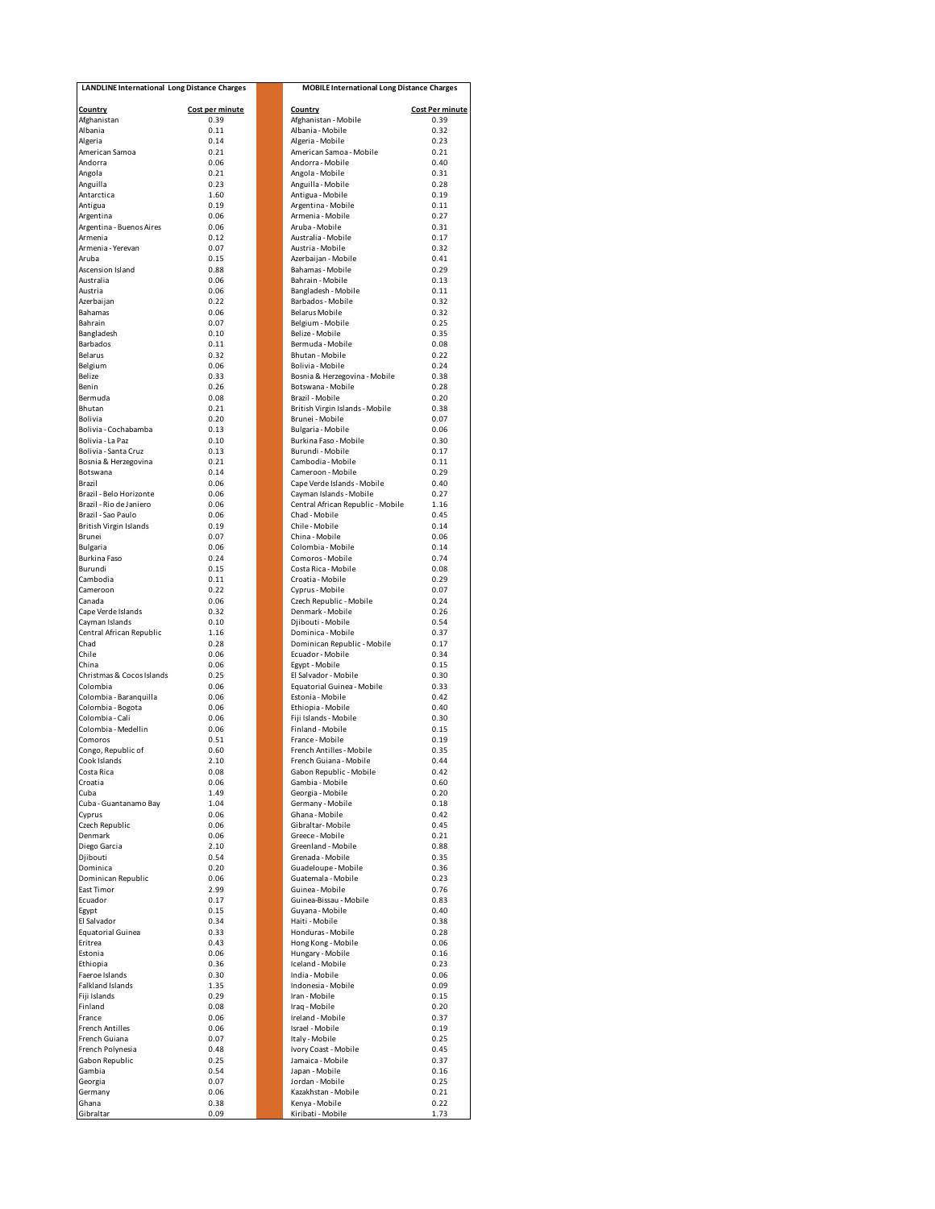| <b>LANDLINE International Long Distance Charges</b> |                 | <b>MOBILE International Long Distance Charges</b>  |                        |  |
|-----------------------------------------------------|-----------------|----------------------------------------------------|------------------------|--|
| Country                                             | Cost per minute | Country                                            | <b>Cost Per minute</b> |  |
| Afghanistan                                         | 0.39            | Afghanistan - Mobile                               | 0.39                   |  |
| Albania                                             | 0.11            | Albania - Mobile                                   | 0.32                   |  |
| Algeria                                             | 0.14            | Algeria - Mobile                                   | 0.23                   |  |
| American Samoa<br>Andorra                           | 0.21<br>0.06    | American Samoa - Mobile<br>Andorra - Mobile        | 0.21<br>0.40           |  |
| Angola                                              | 0.21            | Angola - Mobile                                    | 0.31                   |  |
| Anguilla                                            | 0.23            | Anguilla - Mobile                                  | 0.28                   |  |
| Antarctica                                          | 1.60            | Antigua - Mobile                                   | 0.19                   |  |
| Antigua                                             | 0.19            | Argentina - Mobile                                 | 0.11                   |  |
| Argentina<br>Argentina - Buenos Aires               | 0.06<br>0.06    | Armenia - Mobile<br>Aruba - Mobile                 | 0.27<br>0.31           |  |
| Armenia                                             | 0.12            | Australia - Mobile                                 | 0.17                   |  |
| Armenia - Yerevan                                   | 0.07            | Austria - Mobile                                   | 0.32                   |  |
| Aruba                                               | 0.15            | Azerbaijan - Mobile                                | 0.41                   |  |
| Ascension Island                                    | 0.88            | Bahamas - Mobile                                   | 0.29                   |  |
| Australia<br>Austria                                | 0.06<br>0.06    | Bahrain - Mobile<br>Bangladesh - Mobile            | 0.13<br>0.11           |  |
| Azerbaijan                                          | 0.22            | Barbados - Mobile                                  | 0.32                   |  |
| Bahamas                                             | 0.06            | <b>Belarus Mobile</b>                              | 0.32                   |  |
| Bahrain                                             | 0.07            | Belgium - Mobile                                   | 0.25                   |  |
| Bangladesh                                          | 0.10            | Belize - Mobile                                    | 0.35                   |  |
| Barbados<br>Belarus                                 | 0.11<br>0.32    | Bermuda - Mobile<br>Bhutan - Mobile                | 0.08<br>0.22           |  |
| Belgium                                             | 0.06            | Bolivia - Mobile                                   | 0.24                   |  |
| Belize                                              | 0.33            | Bosnia & Herzegovina - Mobile                      | 0.38                   |  |
| Benin                                               | 0.26            | Botswana - Mobile                                  | 0.28                   |  |
| Bermuda<br>Bhutan                                   | 0.08<br>0.21    | Brazil - Mobile<br>British Virgin Islands - Mobile | 0.20<br>0.38           |  |
| <b>Bolivia</b>                                      | 0.20            | Brunei - Mobile                                    | 0.07                   |  |
| Bolivia - Cochabamba                                | 0.13            | Bulgaria - Mobile                                  | 0.06                   |  |
| Bolivia - La Paz                                    | 0.10            | Burkina Faso - Mobile                              | 0.30                   |  |
| Bolivia - Santa Cruz                                | 0.13            | Burundi - Mobile                                   | 0.17                   |  |
| Bosnia & Herzegovina                                | 0.21<br>0.14    | Cambodia - Mobile                                  | 0.11                   |  |
| Botswana<br>Brazil                                  | 0.06            | Cameroon - Mobile<br>Cape Verde Islands - Mobile   | 0.29<br>0.40           |  |
| Brazil - Belo Horizonte                             | 0.06            | Cayman Islands - Mobile                            | 0.27                   |  |
| Brazil - Rio de Janiero                             | 0.06            | Central African Republic - Mobile                  | 1.16                   |  |
| Brazil - Sao Paulo                                  | 0.06            | Chad - Mobile                                      | 0.45                   |  |
| <b>British Virgin Islands</b><br>Brunei             | 0.19<br>0.07    | Chile - Mobile<br>China - Mobile                   | 0.14<br>0.06           |  |
| Bulgaria                                            | 0.06            | Colombia - Mobile                                  | 0.14                   |  |
| Burkina Faso                                        | 0.24            | Comoros - Mobile                                   | 0.74                   |  |
| Burundi                                             | 0.15            | Costa Rica - Mobile                                | 0.08                   |  |
| Cambodia                                            | 0.11            | Croatia - Mobile                                   | 0.29                   |  |
| Cameroon<br>Canada                                  | 0.22<br>0.06    | Cyprus - Mobile<br>Czech Republic - Mobile         | 0.07<br>0.24           |  |
| Cape Verde Islands                                  | 0.32            | Denmark - Mobile                                   | 0.26                   |  |
| Cayman Islands                                      | 0.10            | Djibouti - Mobile                                  | 0.54                   |  |
| Central African Republic                            | 1.16            | Dominica - Mobile                                  | 0.37                   |  |
| Chad<br>Chile                                       | 0.28<br>0.06    | Dominican Republic - Mobile<br>Ecuador - Mobile    | 0.17<br>0.34           |  |
| China                                               | 0.06            | Egypt - Mobile                                     | 0.15                   |  |
| Christmas & Cocos Islands                           | 0.25            | El Salvador - Mobile                               | 0.30                   |  |
| Colombia                                            | 0.06            | Equatorial Guinea - Mobile                         | 0.33                   |  |
| Colombia - Baranquilla                              | 0.06            | Estonia - Mobile                                   | 0.42                   |  |
| Colombia - Bogota<br>Colombia - Cali                | 0.06<br>0.06    | Ethiopia - Mobile<br>Fiji Islands - Mobile         | 0.40<br>0.30           |  |
| Colombia - Medellin                                 | 0.06            | Finland - Mobile                                   | 0.15                   |  |
| Comoros                                             | 0.51            | France - Mobile                                    | 0.19                   |  |
| Congo, Republic of                                  | 0.60            | French Antilles - Mobile                           | 0.35                   |  |
| Cook Islands                                        | 2.10<br>0.08    | French Guiana - Mobile                             | 0.44<br>0.42           |  |
| Costa Rica<br>Croatia                               | 0.06            | Gabon Republic - Mobile<br>Gambia - Mobile         | 0.60                   |  |
| Cuba                                                | 1.49            | Georgia - Mobile                                   | 0.20                   |  |
| Cuba - Guantanamo Bay                               | 1.04            | Germany - Mobile                                   | 0.18                   |  |
| Cyprus                                              | 0.06            | Ghana - Mobile<br>Gibraltar-Mobile                 | 0.42                   |  |
| Czech Republic<br>Denmark                           | 0.06<br>0.06    | Greece - Mobile                                    | 0.45<br>0.21           |  |
| Diego Garcia                                        | 2.10            | Greenland - Mobile                                 | 0.88                   |  |
| Djibouti                                            | 0.54            | Grenada - Mobile                                   | 0.35                   |  |
| Dominica                                            | 0.20            | Guadeloupe - Mobile                                | 0.36                   |  |
| Dominican Republic                                  | 0.06<br>2.99    | Guatemala - Mobile<br>Guinea - Mobile              | 0.23<br>0.76           |  |
| East Timor<br>Ecuador                               | 0.17            | Guinea-Bissau - Mobile                             | 0.83                   |  |
| Egypt                                               | 0.15            | Guyana - Mobile                                    | 0.40                   |  |
| El Salvador                                         | 0.34            | Haiti - Mobile                                     | 0.38                   |  |
| <b>Equatorial Guinea</b>                            | 0.33            | Honduras - Mobile                                  | 0.28                   |  |
| Eritrea<br>Estonia                                  | 0.43<br>0.06    | Hong Kong - Mobile<br>Hungary - Mobile             | 0.06<br>0.16           |  |
| Ethiopia                                            | 0.36            | Iceland - Mobile                                   | 0.23                   |  |
| Faeroe Islands                                      | 0.30            | India - Mobile                                     | 0.06                   |  |
| Falkland Islands                                    | 1.35            | Indonesia - Mobile                                 | 0.09                   |  |
| Fiji Islands<br>Finland                             | 0.29<br>0.08    | Iran - Mobile                                      | 0.15<br>0.20           |  |
| France                                              | 0.06            | Iraq - Mobile<br>Ireland - Mobile                  | 0.37                   |  |
| <b>French Antilles</b>                              | 0.06            | Israel - Mobile                                    | 0.19                   |  |
| French Guiana                                       | 0.07            | Italy - Mobile                                     | 0.25                   |  |
| French Polynesia                                    | 0.48            | Ivory Coast - Mobile                               | 0.45                   |  |
| Gabon Republic<br>Gambia                            | 0.25<br>0.54    | Jamaica - Mobile<br>Japan - Mobile                 | 0.37<br>0.16           |  |
| Georgia                                             | 0.07            | Jordan - Mobile                                    | 0.25                   |  |
| Germany                                             | 0.06            | Kazakhstan - Mobile                                | 0.21                   |  |
| Ghana                                               | 0.38            | Kenya - Mobile                                     | 0.22                   |  |
| Gibraltar                                           | 0.09            | Kiribati - Mobile                                  | 1.73                   |  |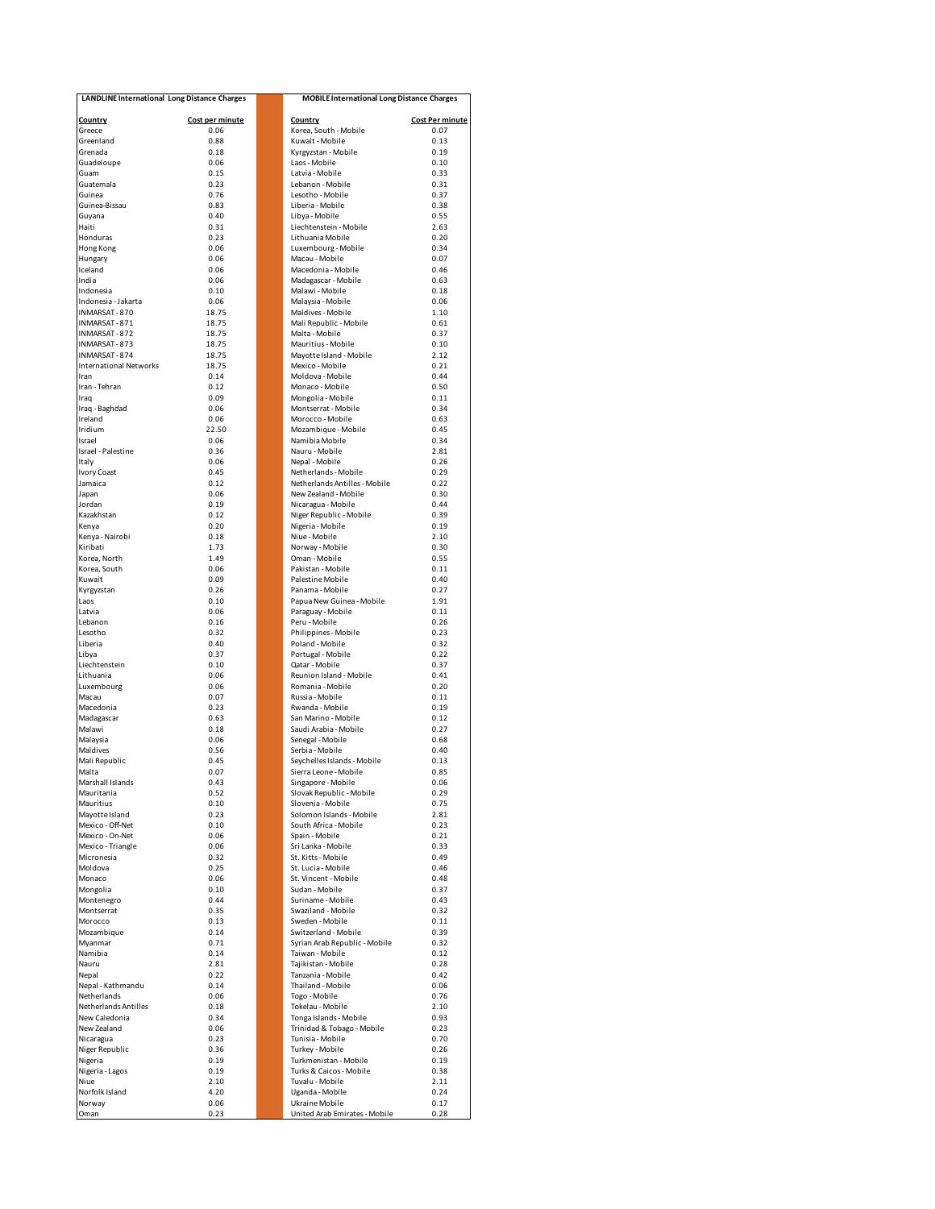| <b>LANDLINE International Long Distance Charges</b> |                 | <b>MOBILE International Long Distance Charges</b> |                        |  |
|-----------------------------------------------------|-----------------|---------------------------------------------------|------------------------|--|
| <b>Country</b>                                      | Cost per minute | Country                                           | <b>Cost Per minute</b> |  |
| Greece<br>Greenland                                 | 0.06<br>0.88    | Korea, South - Mobile<br>Kuwait - Mobile          | 0.07<br>0.13           |  |
| Grenada                                             | 0.18            | Kyrgyzstan - Mobile                               | 0.19                   |  |
| Guadeloupe                                          | 0.06            | Laos - Mobile                                     | 0.10                   |  |
| Guam                                                | 0.15            | Latvia - Mobile                                   | 0.33                   |  |
| Guatemala                                           | 0.23            | Lebanon - Mobile                                  | 0.31                   |  |
| Guinea                                              | 0.76            | Lesotho - Mobile                                  | 0.37                   |  |
| Guinea-Bissau                                       | 0.83            | Liberia - Mobile                                  | 0.38                   |  |
| Guyana                                              | 0.40            | Libya - Mobile                                    | 0.55                   |  |
| Haiti<br>Honduras                                   | 0.31<br>0.23    | Liechtenstein - Mobile<br>Lithuania Mobile        | 2.63<br>0.20           |  |
| Hong Kong                                           | 0.06            | Luxembourg - Mobile                               | 0.34                   |  |
| Hungary                                             | 0.06            | Macau - Mobile                                    | 0.07                   |  |
| Iceland                                             | 0.06            | Macedonia - Mobile                                | 0.46                   |  |
| India                                               | 0.06            | Madagascar - Mobile                               | 0.63                   |  |
| Indonesia                                           | 0.10            | Malawi - Mobile                                   | 0.18                   |  |
| Indonesia - Jakarta                                 | 0.06            | Malavsia - Mobile                                 | 0.06                   |  |
| INMARSAT-870                                        | 18.75           | Maldives - Mobile                                 | 1.10                   |  |
| INMARSAT-871<br>INMARSAT-872                        | 18.75<br>18.75  | Mali Republic - Mobile<br>Malta - Mobile          | 0.61<br>0.37           |  |
| INMARSAT-873                                        | 18.75           | Mauritius - Mobile                                | 0.10                   |  |
| INMARSAT-874                                        | 18.75           | Mayotte Island - Mobile                           | 2.12                   |  |
| <b>International Networks</b>                       | 18.75           | Mexico - Mobile                                   | 0.21                   |  |
| Iran                                                | 0.14            | Moldova - Mobile                                  | 0.44                   |  |
| Iran - Tehran                                       | 0.12            | Monaco - Mobile                                   | 0.50                   |  |
| Iraq                                                | 0.09            | Mongolia - Mobile                                 | 0.11                   |  |
| Iraq - Baghdad                                      | 0.06            | Montserrat - Mobile                               | 0.34                   |  |
| Ireland                                             | 0.06            | Morocco - Mobile                                  | 0.63                   |  |
| Iridium<br>Israel                                   | 22.50<br>0.06   | Mozambique - Mobile<br>Namibia Mobile             | 0.45                   |  |
| Israel - Palestine                                  | 0.36            | Nauru - Mobile                                    | 0.34<br>2.81           |  |
| Italy                                               | 0.06            | Nepal - Mobile                                    | 0.26                   |  |
| <b>Ivory Coast</b>                                  | 0.45            | Netherlands - Mobile                              | 0.29                   |  |
| Jamaica                                             | 0.12            | Netherlands Antilles - Mobile                     | 0.22                   |  |
| Japan                                               | 0.06            | New Zealand - Mobile                              | 0.30                   |  |
| Jordan                                              | 0.19            | Nicaragua - Mobile                                | 0.44                   |  |
| Kazakhstan                                          | 0.12            | Niger Republic - Mobile                           | 0.39                   |  |
| Kenya                                               | 0.20            | Nigeria - Mobile                                  | 0.19                   |  |
| Kenya - Nairobi<br>Kiribati                         | 0.18<br>1.73    | Niue - Mobile<br>Norway - Mobile                  | 2.10<br>0.30           |  |
| Korea, North                                        | 1.49            | Oman - Mobile                                     | 0.55                   |  |
| Korea, South                                        | 0.06            | Pakistan - Mobile                                 | 0.11                   |  |
| Kuwait                                              | 0.09            | Palestine Mobile                                  | 0.40                   |  |
| Kyrgyzstan                                          | 0.26            | Panama - Mobile                                   | 0.27                   |  |
| Laos                                                | 0.10            | Papua New Guinea - Mobile                         | 1.91                   |  |
| Latvia                                              | 0.06            | Paraguay - Mobile                                 | 0.11                   |  |
| I ebanon<br>Lesotho                                 | 0.16<br>0.32    | Peru - Mobile<br>Philippines - Mobile             | 0.26<br>0.23           |  |
| Liberia                                             | 0.40            | Poland - Mobile                                   | 0.32                   |  |
| Libya                                               | 0.37            | Portugal - Mobile                                 | 0.22                   |  |
| Liechtenstein                                       | 0.10            | Qatar - Mobile                                    | 0.37                   |  |
| Lithuania                                           | 0.06            | Reunion Island - Mobile                           | 0.41                   |  |
| Luxembourg                                          | 0.06            | Romania - Mobile                                  | 0.20                   |  |
| Macau                                               | 0.07            | Russia - Mobile                                   | 0.11                   |  |
| Macedonia<br>Madagascar                             | 0.23<br>0.63    | Rwanda - Mobile<br>San Marino - Mobile            | 0.19<br>0.12           |  |
| Malawi                                              | 0.18            | Saudi Arabia - Mobile                             | 0.27                   |  |
| Malaysia                                            | 0.06            | Senegal - Mobile                                  | 0.68                   |  |
| Maldives                                            | 0.56            | Serbia - Mobile                                   | 0.40                   |  |
| Mali Republic                                       | 0.45            | Seychelles Islands - Mobile                       | 0.13                   |  |
| Malta                                               | 0.07            | Sierra Leone - Mobile                             | 0.85                   |  |
| Marshall Islands                                    | 0.43            | Singapore - Mobile                                | 0.06                   |  |
| Mauritania                                          | 0.52            | Slovak Republic - Mobile                          | 0.29                   |  |
| Mauritius<br>Mayotte Island                         | 0.10<br>0.23    | Slovenia - Mobile<br>Solomon Islands - Mobile     | 0.75<br>2.81           |  |
| Mexico - Off-Net                                    | 0.10            | South Africa - Mobile                             | 0.23                   |  |
| Mexico - On-Net                                     | 0.06            | Spain - Mobile                                    | 0.21                   |  |
| Mexico - Triangle                                   | 0.06            | Sri Lanka - Mobile                                | 0.33                   |  |
| Micronesia                                          | 0.32            | St. Kitts - Mobile                                | 0.49                   |  |
| Moldova                                             | 0.25            | St. Lucia - Mobile                                | 0.46                   |  |
| Monaco                                              | 0.06            | St. Vincent - Mobile                              | 0.48                   |  |
| Mongolia                                            | 0.10            | Sudan - Mobile                                    | 0.37                   |  |
| Montenegro<br>Montserrat                            | 0.44<br>0.35    | Suriname - Mobile<br>Swaziland - Mobile           | 0.43<br>0.32           |  |
| Morocco                                             | 0.13            | Sweden - Mobile                                   | 0.11                   |  |
| Mozambique                                          | 0.14            | Switzerland - Mobile                              | 0.39                   |  |
| Myanmar                                             | 0.71            | Syrian Arab Republic - Mobile                     | 0.32                   |  |
| Namibia                                             | 0.14            | Taiwan - Mobile                                   | 0.12                   |  |
| Nauru                                               | 2.81            | Tajikistan - Mobile                               | 0.28                   |  |
| Nepal                                               | 0.22            | Tanzania - Mobile                                 | 0.42                   |  |
| Nepal - Kathmandu                                   | 0.14            | Thailand - Mobile                                 | 0.06                   |  |
| Netherlands<br>Netherlands Antilles                 | 0.06<br>0.18    | Togo - Mobile<br>Tokelau - Mobile                 | 0.76<br>2.10           |  |
| New Caledonia                                       | 0.34            | Tonga Islands - Mobile                            | 0.93                   |  |
| New Zealand                                         | 0.06            | Trinidad & Tobago - Mobile                        | 0.23                   |  |
| Nicaragua                                           | 0.23            | Tunisia - Mobile                                  | 0.70                   |  |
| Niger Republic                                      | 0.36            | Turkey - Mobile                                   | 0.26                   |  |
| Nigeria                                             | 0.19            | Turkmenistan - Mobile                             | 0.19                   |  |
| Nigeria - Lagos                                     | 0.19            | Turks & Caicos - Mobile                           | 0.38                   |  |
| Niue                                                | 2.10            | Tuvalu - Mobile                                   | 2.11                   |  |
| Norfolk Island<br>Norway                            | 4.20<br>0.06    | Uganda - Mobile<br>Ukraine Mobile                 | 0.24<br>0.17           |  |
| Oman                                                | 0.23            | United Arab Emirates - Mobile                     | 0.28                   |  |